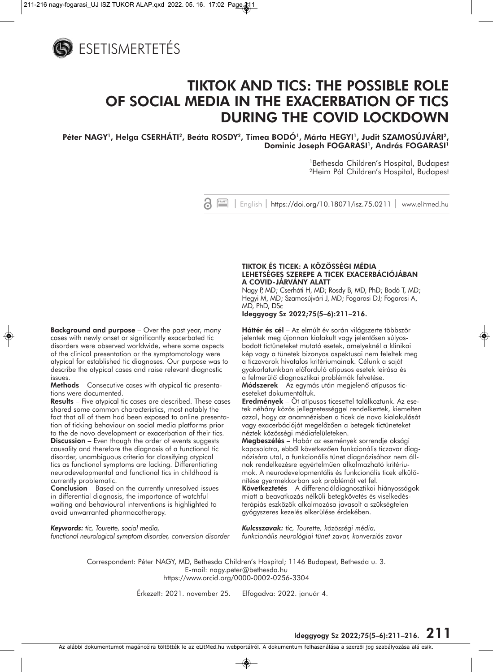

# **TIKTOK AND TICS: THE POSSIBLE ROLE OF SOCIAL MEDIA IN THE EXACERBATION OF TICS DURING THE COVID LOCKDOWN**

Péter NAGY<sup>1</sup>, Helga CSERHÁTI<sup>2</sup>, Beáta ROSDY<sup>2</sup>, Tímea BODÓ<sup>1</sup>, Márta HEGYI<sup>1</sup>, Judit SZAMOSÚJVÁRI<sup>2</sup>, Dominic Joseph FOGARASI<sup>1</sup>, András FOGARASI<sup>1</sup>

> 1Bethesda Children's Hospital, Budapest 2Heim Pál Children's Hospital, Budapest



**Background and purpose** – Over the past year, many cases with newly onset or significantly exacerbated tic disorders were observed worldwide, where some aspects of the clinical presentation or the symptomatology were atypical for established tic diagnoses. Our purpose was to describe the atypical cases and raise relevant diagnostic issues.

**Methods** – Consecutive cases with atypical tic presentations were documented.

**Results** – Five atypical tic cases are described. These cases shared some common characteristics, most notably the fact that all of them had been exposed to online presentation of ticking behaviour on social media platforms prior to the de novo development or exacerbation of their tics. **Discussion** – Even though the order of events suggests causality and therefore the diagnosis of a functional tic disorder, unambiguous criteria for classifying atypical tics as functional symptoms are lacking. Differentiating neurodevelopmental and functional tics in childhood is currently problematic.

**Conclusion** – Based on the currently unresolved issues in differential diagnosis, the importance of watchful waiting and behavioural interventions is highlighted to avoid unwarranted pharmacotherapy.

*Keywords: tic, Tourette, social media, functional neurological symptom disorder, conversion disorder*

#### **TIKTOK ÉS TICEK: A KÖZÖSSÉGI MÉDIA LEHETSÉGES SZEREPE A TICEK EXACERBÁCIÓJÁBAN A COVID-JÁRVÁNY ALATT**

Nagy P, MD; Cserháti H, MD; Rosdy B, MD, PhD; Bodó T, MD; Hegyi M, MD; Szamosújvári J, MD; Fogarasi DJ; Fogarasi A, MD, PhD, DSc

**Ideggyogy Sz 2022;75(5–6):211–216.**

**Háttér és cél** – Az elmúlt év során világszerte többször jelentek meg újonnan kialakult vagy jelentôsen súlyosbodott tictüneteket mutató esetek, amelyeknél a klinikai kép vagy a tünetek bizonyos aspektusai nem feleltek meg a ticzavarok hivatalos kritériumainak. Célunk a saját gyakorlatunkban elôforduló atípusos esetek leírása és a felmerülô diagnosztikai problémák felvetése.

**Módszerek** – Az egymás után megjelenô atípusos tic eseteket dokumentáltuk.

**Eredmények** – Öt atípusos ticesettel találkoztunk. Az ese tek néhány közös jellegzetességgel rendelkeztek, kiemelten azzal, hogy az anamnézisben a ticek de novo kialakulását vagy exacerbációját megelôzôen a betegek tictüneteket néztek közösségi médiafelületeken.

**Megbeszélés** – Habár az események sorrendje oksági kapcsolatra, ebbôl következôen funkcionális ticzavar diagnózisára utal, a funkcionális tünet diagnózisához nem állnak rendelkezésre egyértelmûen alkalmazható kritériu mok. A neurodevelopmentális és funkcionális ticek elkülö nítése gyermekkorban sok problémát vet fel.

**Következtetés** – A differenciáldiagnosztikai hiányosságok miatt a beavatkozás nélküli betegkövetés és viselkedés terápiás eszközök alkalmazása javasolt a szükségtelen gyógyszeres kezelés elkerülése érdekében.

*Kulcsszavak: tic, Tourette, közösségi média, funkcionális neurológiai tünet zavar, konverziós zavar*

Correspondent: Péter NAGY, MD, Bethesda Children's Hospital; 1146 Budapest, Bethesda u. 3. E-mail: nagy.peter@bethesda.hu https://www.orcid.org/0000-0002-0256-3304

Érkezett: 2021. november 25. Elfogadva: 2022. január 4.

**Ideggyogy Sz 2022;75(5–6):211–216. 211**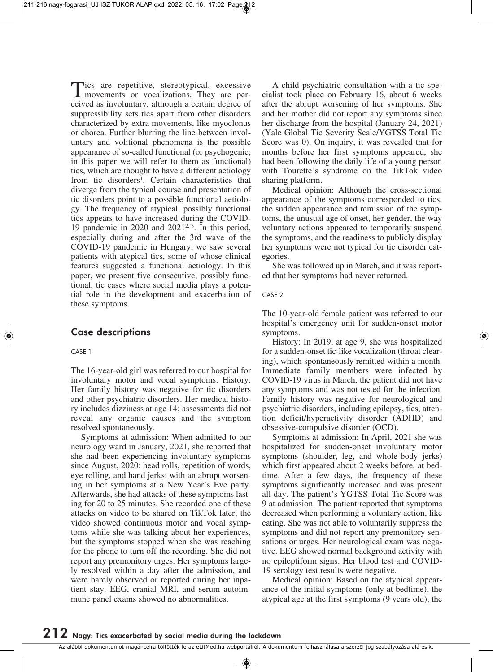Tics are repetitive, stereotypical, excessive<br>movements or vocalizations. They are perceived as involuntary, although a certain degree of suppressibility sets tics apart from other disorders characterized by extra movements, like myoclonus or chorea. Further blurring the line between involuntary and volitional phenomena is the possible appearance of so-called functional (or psychogenic; in this paper we will refer to them as functional) tics, which are thought to have a different aetiology from tic disorders<sup>1</sup>. Certain characteristics that diverge from the typical course and presentation of tic disorders point to a possible functional aetiology. The frequency of atypical, possibly functional tics appears to have increased during the COVID-19 pandemic in 2020 and  $2021^{2,3}$ . In this period, especially during and after the 3rd wave of the COVID-19 pandemic in Hungary, we saw several patients with atypical tics, some of whose clinical features suggested a functional aetiology. In this paper, we present five consecutive, possibly functional, tic cases where social media plays a potential role in the development and exacerbation of these symptoms.

# **Case descriptions**

CASE 1

The 16-year-old girl was referred to our hospital for involuntary motor and vocal symptoms. History: Her family history was negative for tic disorders and other psychiatric disorders. Her medical history includes dizziness at age 14; assessments did not reveal any organic causes and the symptom resolved spontaneously.

Symptoms at admission: When admitted to our neurology ward in January, 2021, she reported that she had been experiencing involuntary symptoms since August, 2020: head rolls, repetition of words, eye rolling, and hand jerks; with an abrupt worsening in her symptoms at a New Year's Eve party. Afterwards, she had attacks of these symptoms lasting for 20 to 25 minutes. She recorded one of these attacks on video to be shared on TikTok later; the video showed continuous motor and vocal symptoms while she was talking about her experiences, but the symptoms stopped when she was reaching for the phone to turn off the recording. She did not report any premonitory urges. Her symptoms largely resolved within a day after the admission, and were barely observed or reported during her inpatient stay. EEG, cranial MRI, and serum autoimmune panel exams showed no abnormalities.

A child psychiatric consultation with a tic specialist took place on February 16, about 6 weeks after the abrupt worsening of her symptoms. She and her mother did not report any symptoms since her discharge from the hospital (January 24, 2021) (Yale Global Tic Severity Scale/YGTSS Total Tic Score was 0). On inquiry, it was revealed that for months before her first symptoms appeared, she had been following the daily life of a young person with Tourette's syndrome on the TikTok video sharing platform.

Medical opinion: Although the cross-sectional appearance of the symptoms corresponded to tics, the sudden appearance and remission of the symptoms, the unusual age of onset, her gender, the way voluntary actions appeared to temporarily suspend the symptoms, and the readiness to publicly display her symptoms were not typical for tic disorder categories.

She was followed up in March, and it was reported that her symptoms had never returned.

CASE 2

The 10-year-old female patient was referred to our hospital's emergency unit for sudden-onset motor symptoms.

History: In 2019, at age 9, she was hospitalized for a sudden-onset tic-like vocalization (throat clearing), which spontaneously remitted within a month. Immediate family members were infected by COVID-19 virus in March, the patient did not have any symptoms and was not tested for the infection. Family history was negative for neurological and psychiatric disorders, including epilepsy, tics, attention deficit/hyperactivity disorder (ADHD) and obsessive-compulsive disorder (OCD).

Symptoms at admission: In April, 2021 she was hospitalized for sudden-onset involuntary motor symptoms (shoulder, leg, and whole-body jerks) which first appeared about 2 weeks before, at bedtime. After a few days, the frequency of these symptoms significantly increased and was present all day. The patient's YGTSS Total Tic Score was 9 at admission. The patient reported that symptoms decreased when performing a voluntary action, like eating. She was not able to voluntarily suppress the symptoms and did not report any premonitory sensations or urges. Her neurological exam was negative. EEG showed normal background activity with no epileptiform signs. Her blood test and COVID-19 serology test results were negative.

Medical opinion: Based on the atypical appearance of the initial symptoms (only at bedtime), the atypical age at the first symptoms (9 years old), the

Az alábbi dokumentumot magáncélra töltötték le az eLitMed.hu webportálról. A dokumentum felhasználása a szerzôi jog szabályozása alá esik.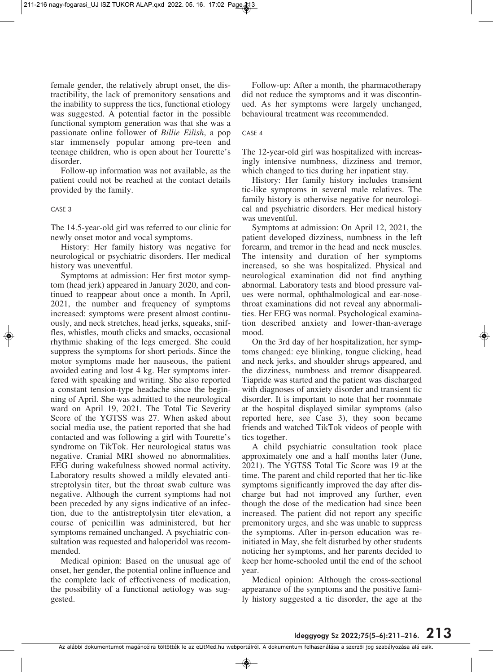female gender, the relatively abrupt onset, the distractibility, the lack of premonitory sensations and the inability to suppress the tics, functional etiology was suggested. A potential factor in the possible functional symptom generation was that she was a passionate online follower of *Billie Eilish*, a pop star immensely popular among pre-teen and teenage children, who is open about her Tourette's disorder.

Follow-up information was not available, as the patient could not be reached at the contact details provided by the family.

#### CASE 3

The 14.5-year-old girl was referred to our clinic for newly onset motor and vocal symptoms.

History: Her family history was negative for neurological or psychiatric disorders. Her medical history was uneventful.

Symptoms at admission: Her first motor symptom (head jerk) appeared in January 2020, and continued to reappear about once a month. In April, 2021, the number and frequency of symptoms increased: symptoms were present almost continuously, and neck stretches, head jerks, squeaks, sniffles, whistles, mouth clicks and smacks, occasional rhythmic shaking of the legs emerged. She could suppress the symptoms for short periods. Since the motor symptoms made her nauseous, the patient avoided eating and lost 4 kg. Her symptoms interfered with speaking and writing. She also reported a constant tension-type headache since the beginning of April. She was admitted to the neurological ward on April 19, 2021. The Total Tic Severity Score of the YGTSS was 27. When asked about social media use, the patient reported that she had contacted and was following a girl with Tourette's syndrome on TikTok. Her neurological status was negative. Cranial MRI showed no abnormalities. EEG during wakefulness showed normal activity. Laboratory results showed a mildly elevated antistreptolysin titer, but the throat swab culture was negative. Although the current symptoms had not been preceded by any signs indicative of an infection, due to the antistreptolysin titer elevation, a course of penicillin was administered, but her symptoms remained unchanged. A psychiatric consultation was requested and haloperidol was recommended.

Medical opinion: Based on the unusual age of onset, her gender, the potential online influence and the complete lack of effectiveness of medication, the possibility of a functional aetiology was suggested.

Follow-up: After a month, the pharmacotherapy did not reduce the symptoms and it was discontinued. As her symptoms were largely unchanged, behavioural treatment was recommended.

#### CASE 4

The 12-year-old girl was hospitalized with increasingly intensive numbness, dizziness and tremor, which changed to tics during her inpatient stay.

History: Her family history includes transient tic-like symptoms in several male relatives. The family history is otherwise negative for neurological and psychiatric disorders. Her medical history was uneventful.

Symptoms at admission: On April 12, 2021, the patient developed dizziness, numbness in the left forearm, and tremor in the head and neck muscles. The intensity and duration of her symptoms increased, so she was hospitalized. Physical and neurological examination did not find anything abnormal. Laboratory tests and blood pressure values were normal, ophthalmological and ear-nosethroat examinations did not reveal any abnormalities. Her EEG was normal. Psychological examination described anxiety and lower-than-average mood.

On the 3rd day of her hospitalization, her symptoms changed: eye blinking, tongue clicking, head and neck jerks, and shoulder shrugs appeared, and the dizziness, numbness and tremor disappeared. Tiapride was started and the patient was discharged with diagnoses of anxiety disorder and transient tic disorder. It is important to note that her roommate at the hospital displayed similar symptoms (also reported here, see Case 3), they soon became friends and watched TikTok videos of people with tics together.

A child psychiatric consultation took place approximately one and a half months later (June, 2021). The YGTSS Total Tic Score was 19 at the time. The parent and child reported that her tic-like symptoms significantly improved the day after discharge but had not improved any further, even though the dose of the medication had since been increased. The patient did not report any specific premonitory urges, and she was unable to suppress the symptoms. After in-person education was reinitiated in May, she felt disturbed by other students noticing her symptoms, and her parents decided to keep her home-schooled until the end of the school year.

Medical opinion: Although the cross-sectional appearance of the symptoms and the positive family history suggested a tic disorder, the age at the

Az alábbi dokumentumot magáncélra töltötték le az eLitMed.hu webportálról. A dokumentum felhasználása a szerzôi jog szabályozása alá esik.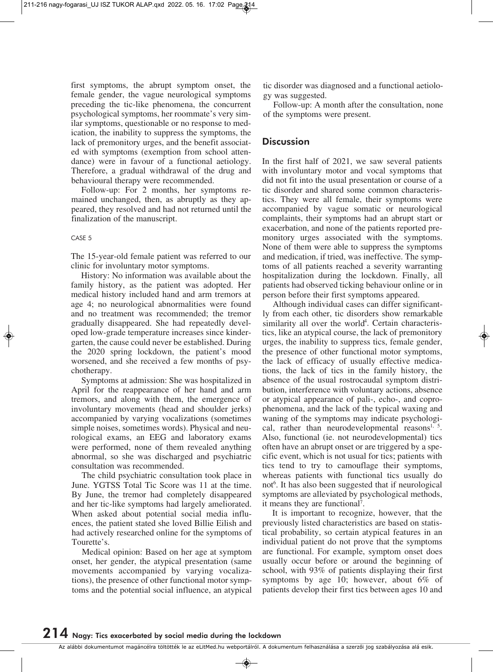first symptoms, the abrupt symptom onset, the female gender, the vague neurological symptoms preceding the tic-like phenomena, the concurrent psychological symptoms, her roommate's very similar symptoms, questionable or no response to medication, the inability to suppress the symptoms, the lack of premonitory urges, and the benefit associated with symptoms (exemption from school attendance) were in favour of a functional aetiology. Therefore, a gradual withdrawal of the drug and behavioural therapy were recommended.

Follow-up: For 2 months, her symptoms remained unchanged, then, as abruptly as they appeared, they resolved and had not returned until the finalization of the manuscript.

### CASE 5

The 15-year-old female patient was referred to our clinic for involuntary motor symptoms.

History: No information was available about the family history, as the patient was adopted. Her medical history included hand and arm tremors at age 4; no neurological abnormalities were found and no treatment was recommended; the tremor gradually disappeared. She had repeatedly developed low-grade temperature increases since kindergarten, the cause could never be established. During the 2020 spring lockdown, the patient's mood worsened, and she received a few months of psychotherapy.

Symptoms at admission: She was hospitalized in April for the reappearance of her hand and arm tremors, and along with them, the emergence of involuntary movements (head and shoulder jerks) accompanied by varying vocalizations (sometimes simple noises, sometimes words). Physical and neurological exams, an EEG and laboratory exams were performed, none of them revealed anything abnormal, so she was discharged and psychiatric consultation was recommended.

The child psychiatric consultation took place in June. YGTSS Total Tic Score was 11 at the time. By June, the tremor had completely disappeared and her tic-like symptoms had largely ameliorated. When asked about potential social media influences, the patient stated she loved Billie Eilish and had actively researched online for the symptoms of Tourette's.

Medical opinion: Based on her age at symptom onset, her gender, the atypical presentation (same movements accompanied by varying vocalizations), the presence of other functional motor symptoms and the potential social influence, an atypical tic disorder was diagnosed and a functional aetiology was suggested.

Follow-up: A month after the consultation, none of the symptoms were present.

# **Discussion**

In the first half of 2021, we saw several patients with involuntary motor and vocal symptoms that did not fit into the usual presentation or course of a tic disorder and shared some common characteristics. They were all female, their symptoms were accompanied by vague somatic or neurological complaints, their symptoms had an abrupt start or exacerbation, and none of the patients reported premonitory urges associated with the symptoms. None of them were able to suppress the symptoms and medication, if tried, was ineffective. The symptoms of all patients reached a severity warranting hospitalization during the lockdown. Finally, all patients had observed ticking behaviour online or in person before their first symptoms appeared.

Although individual cases can differ significantly from each other, tic disorders show remarkable similarity all over the world<sup>4</sup>. Certain characteristics, like an atypical course, the lack of premonitory urges, the inability to suppress tics, female gender, the presence of other functional motor symptoms, the lack of efficacy of usually effective medications, the lack of tics in the family history, the absence of the usual rostrocaudal symptom distribution, interference with voluntary actions, absence or atypical appearance of pali-, echo-, and coprophenomena, and the lack of the typical waxing and waning of the symptoms may indicate psychological, rather than neurodevelopmental reasons<sup>1, 5</sup>. Also, functional (ie. not neurodevelopmental) tics often have an abrupt onset or are triggered by a specific event, which is not usual for tics; patients with tics tend to try to camouflage their symptoms, whereas patients with functional tics usually do not 6 . It has also been suggested that if neurological symptoms are alleviated by psychological methods, it means they are functional<sup>7</sup>.

It is important to recognize, however, that the previously listed characteristics are based on statistical probability, so certain atypical features in an individual patient do not prove that the symptoms are functional. For example, symptom onset does usually occur before or around the beginning of school, with 93% of patients displaying their first symptoms by age 10; however, about 6% of patients develop their first tics between ages 10 and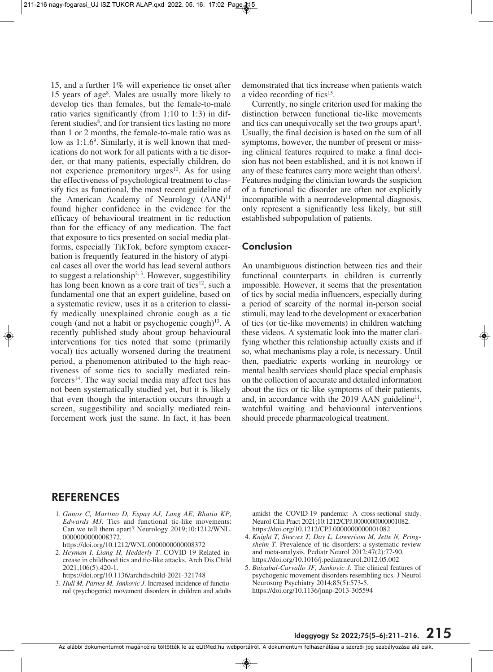15, and a further 1% will experience tic onset after 15 years of age8 . Males are usually more likely to develop tics than females, but the female-to-male ratio varies significantly (from 1:10 to 1:3) in different studies<sup>8</sup>, and for transient tics lasting no more than 1 or 2 months, the female-to-male ratio was as low as 1:1.6<sup>9</sup>. Similarly, it is well known that medications do not work for all patients with a tic disorder, or that many patients, especially children, do not experience premonitory urges $10$ . As for using the effectiveness of psychological treatment to classify tics as functional, the most recent guideline of the American Academy of Neurology  $(AAN)^{11}$ found higher confidence in the evidence for the efficacy of behavioural treatment in tic reduction than for the efficacy of any medication. The fact that exposure to tics presented on social media platforms, especially TikTok, before symptom exacerbation is frequently featured in the history of atypical cases all over the world has lead several authors to suggest a relationship<sup>2, 3</sup>. However, suggestibility has long been known as a core trait of tics<sup>12</sup>, such a fundamental one that an expert guideline, based on a systematic review, uses it as a criterion to classify medically unexplained chronic cough as a tic cough (and not a habit or psychogenic cough) $13$ . A recently published study about group behavioural interventions for tics noted that some (primarily vocal) tics actually worsened during the treatment period, a phenomenon attributed to the high reactiveness of some tics to socially mediated reinforcers<sup>14</sup>. The way social media may affect tics has not been systematically studied yet, but it is likely that even though the interaction occurs through a screen, suggestibility and socially mediated reinforcement work just the same. In fact, it has been

demonstrated that tics increase when patients watch a video recording of tics<sup>15</sup>.

Currently, no single criterion used for making the distinction between functional tic-like movements and tics can unequivocally set the two groups apart<sup>1</sup>. Usually, the final decision is based on the sum of all symptoms, however, the number of present or missing clinical features required to make a final decision has not been established, and it is not known if any of these features carry more weight than others<sup>1</sup>. Features nudging the clinician towards the suspicion of a functional tic disorder are often not explicitly incompatible with a neurodevelopmental diagnosis, only represent a significantly less likely, but still established subpopulation of patients.

## **Conclusion**

An unambiguous distinction between tics and their functional counterparts in children is currently impossible. However, it seems that the presentation of tics by social media influencers, especially during a period of scarcity of the normal in-person social stimuli, may lead to the development or exacerbation of tics (or tic-like movements) in children watching these videos. A systematic look into the matter clarifying whether this relationship actually exists and if so, what mechanisms play a role, is necessary. Until then, paediatric experts working in neurology or mental health services should place special emphasis on the collection of accurate and detailed information about the tics or tic-like symptoms of their patients, and, in accordance with the  $2019$  AAN guideline<sup>11</sup>, watchful waiting and behavioural interventions should precede pharmacological treatment.

# **REFERENCES**

- 1. *Ganos C, Martino D, Espay AJ, Lang AE, Bhatia KP, Ed wards MJ*. Tics and functional tic-like movements: Can we tell them apart? Neurology 2019;10:1212/WNL. 0000000000008372.
- https://doi.org/10.1212/WNL.0000000000008372
- 2. *Heyman I, Liang H, Hedderly T*. COVID-19 Related in crease in childhood tics and tic-like attacks. Arch Dis Child 2021;106(5):420-1.
- https://doi.org/10.1136/archdischild-2021-321748
- 3. *Hull M, Parnes M, Jankovic J.* Increased incidence of functional (psychogenic) movement disorders in children and adults

amidst the COVID-19 pandemic: A cross-sectional study. Neurol Clin Pract 2021;10:1212/CPJ.0000000000001082. https://doi.org/10.1212/CPJ.0000000000001082

- 4. *Knight T, Steeves T, Day L, Lowerison M, Jette N, Pring sheim T.* Prevalence of tic disorders: a systematic review and meta-analysis. Pediatr Neurol 2012;47(2):77-90. https://doi.org/10.1016/j.pediatrneurol.2012.05.002
- 5. *Baizabal-Carvallo JF, Jankovic J.* The clinical features of psychogenic movement disorders resembling tics. J Neurol Neurosurg Psychiatry 2014;85(5):573-5. https://doi.org/10.1136/jnnp-2013-305594

Az alábbi dokumentumot magáncélra töltötték le az eLitMed.hu webportálról. A dokumentum felhasználása a szerzôi jog szabályozása alá esik.